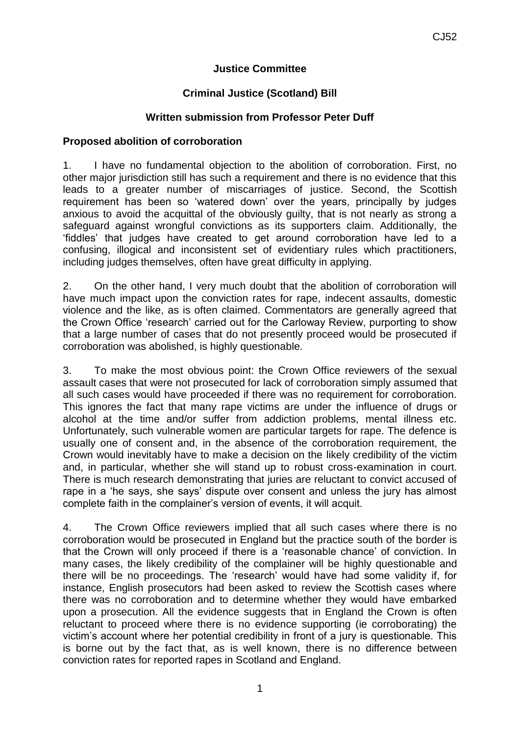## **Justice Committee**

## **Criminal Justice (Scotland) Bill**

## **Written submission from Professor Peter Duff**

## **Proposed abolition of corroboration**

1. I have no fundamental objection to the abolition of corroboration. First, no other major jurisdiction still has such a requirement and there is no evidence that this leads to a greater number of miscarriages of justice. Second, the Scottish requirement has been so 'watered down' over the years, principally by judges anxious to avoid the acquittal of the obviously guilty, that is not nearly as strong a safeguard against wrongful convictions as its supporters claim. Additionally, the 'fiddles' that judges have created to get around corroboration have led to a confusing, illogical and inconsistent set of evidentiary rules which practitioners, including judges themselves, often have great difficulty in applying.

2. On the other hand, I very much doubt that the abolition of corroboration will have much impact upon the conviction rates for rape, indecent assaults, domestic violence and the like, as is often claimed. Commentators are generally agreed that the Crown Office 'research' carried out for the Carloway Review, purporting to show that a large number of cases that do not presently proceed would be prosecuted if corroboration was abolished, is highly questionable.

3. To make the most obvious point: the Crown Office reviewers of the sexual assault cases that were not prosecuted for lack of corroboration simply assumed that all such cases would have proceeded if there was no requirement for corroboration. This ignores the fact that many rape victims are under the influence of drugs or alcohol at the time and/or suffer from addiction problems, mental illness etc. Unfortunately, such vulnerable women are particular targets for rape. The defence is usually one of consent and, in the absence of the corroboration requirement, the Crown would inevitably have to make a decision on the likely credibility of the victim and, in particular, whether she will stand up to robust cross-examination in court. There is much research demonstrating that juries are reluctant to convict accused of rape in a 'he says, she says' dispute over consent and unless the jury has almost complete faith in the complainer's version of events, it will acquit.

4. The Crown Office reviewers implied that all such cases where there is no corroboration would be prosecuted in England but the practice south of the border is that the Crown will only proceed if there is a 'reasonable chance' of conviction. In many cases, the likely credibility of the complainer will be highly questionable and there will be no proceedings. The 'research' would have had some validity if, for instance, English prosecutors had been asked to review the Scottish cases where there was no corroboration and to determine whether they would have embarked upon a prosecution. All the evidence suggests that in England the Crown is often reluctant to proceed where there is no evidence supporting (ie corroborating) the victim's account where her potential credibility in front of a jury is questionable. This is borne out by the fact that, as is well known, there is no difference between conviction rates for reported rapes in Scotland and England.